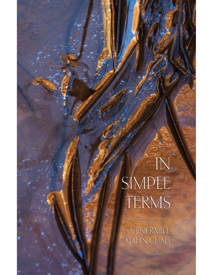# $\overline{N}$ SIMPLE TERMS

VENERABLE **AJAHN CHAH**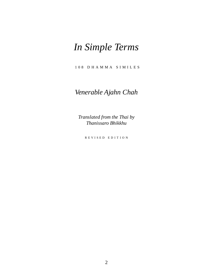# *In Simple Terms*

1 0 8 D H A M M A S I M I L E S

### *Venerable Ajahn Chah*

*Translated from the Thai by Thanissaro Bhikkhu*

R E V I S E D E D I T I O N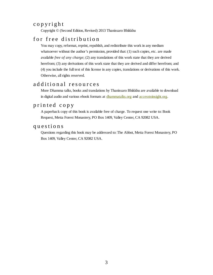#### c o p y r i g h t

Copyright © (Second Edition, Revised) 2013 Thanissaro Bhikkhu

#### for free distribution

You may copy, reformat, reprint, republish, and redistribute this work in any medium whatsoever without the author's permission, provided that: (1) such copies, etc. are made available *free of any charge*; (2) any translations of this work state that they are derived herefrom; (3) any derivations of this work state that they are derived and differ herefrom; and (4) you include the full text of this license in any copies, translations or derivations of this work. Otherwise, all rights reserved.

#### additional resources

More Dhamma talks, books and translations by Thanissaro Bhikkhu are available to download in digital audio and various ebook formats at [dhammatalks.org](http://www.dhammatalks.org/) and [accesstoinsight.org.](http://www.accesstoinsight.org/lib/authors/thanissaro/)

#### printed copy

A paperback copy of this book is available free of charge. To request one write to: Book Request, Metta Forest Monastery, PO Box 1409, Valley Center, CA 92082 USA.

#### q u e st i o n s

Questions regarding this book may be addressed to: The Abbot, Metta Forest Monastery, PO Box 1409, Valley Center, CA 92082 USA.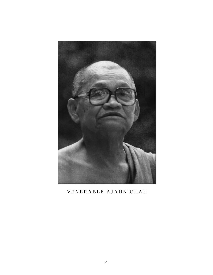

#### VENERABLE AJAHN CHAH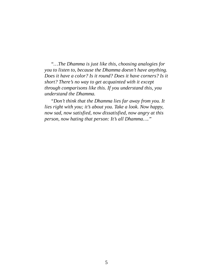*"…The Dhamma is just like this, choosing analogies for you to listen to, because the Dhamma doesn't have anything. Does it have a color? Is it round? Does it have corners? Is it short? There's no way to get acquainted with it except through comparisons like this. If you understand this, you understand the Dhamma.*

*"Don't think that the Dhamma lies far away from you. It lies right with you; it's about you. Take a look. Now happy, now sad, now satisfied, now dissatisfied, now angry at this person, now hating that person: It's all Dhamma…."*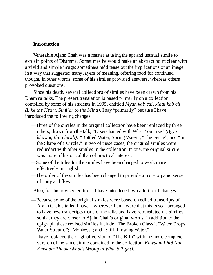#### **Introduction**

Venerable Ajahn Chah was a master at using the apt and unusual simile to explain points of Dhamma. Sometimes he would make an abstract point clear with a vivid and simple image; sometimes he'd tease out the implications of an image in a way that suggested many layers of meaning, offering food for continued thought. In other words, some of his similes provided answers, whereas others provoked questions.

Since his death, several collections of similes have been drawn from his Dhamma talks. The present translation is based primarily on a collection compiled by some of his students in 1995, entitled *Myan kab cai, klaai kab cit (Like the Heart, Similar to the Mind)*. I say "primarily" because I have introduced the following changes:

- —Three of the similes in the original collection have been replaced by three others, drawn from the talk, "Disenchanted with What You Like" *(Byya khawng thii chawb):* "Bottled Water, Spring Water"; "The Fence"; and "In the Shape of a Circle." In two of these cases, the original similes were redundant with other similes in the collection. In one, the original simile was more of historical than of practical interest.
- —Some of the titles for the similes have been changed to work more effectively in English.
- —The order of the similes has been changed to provide a more organic sense of unity and flow.

Also, for this revised editions, I have introduced two additional changes:

- —Because some of the original similes were based on edited transcripts of Ajahn Chah's talks, I have—wherever I am aware that this is so—arranged to have new transcripts made of the talks and have retranslated the similes so that they are closer to Ajahn Chah's original words. In addition to the epigraph, these revised similes include "The Broken Glass"; "Water Drops, Water Streams"; "Monkeys"; and "Still, Flowing Water."
- —I have replaced the original version of "The Kiln" with the more complete version of the same simile contained in the collection, *Khwaam Phid Nai Khwaam Thuuk (What's Wrong in What's Right).*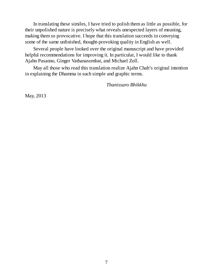In translating these similes, I have tried to polish them as little as possible, for their unpolished nature is precisely what reveals unexpected layers of meaning, making them so provocative. I hope that this translation succeeds in conveying some of the same unfinished, thought-provoking quality in English as well.

Several people have looked over the original manuscript and have provided helpful recommendations for improving it. In particular, I would like to thank Ajahn Pasanno, Ginger Vathanasombat, and Michael Zoll.

May all those who read this translation realize Ajahn Chah's original intention in explaining the Dhamma in such simple and graphic terms.

*Thanissaro Bhikkhu*

May, 2013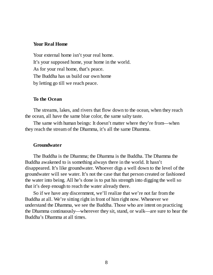#### **Your Real Home**

Your external home isn't your real home. It's your supposed home, your home in the world. As for your real home, that's peace. The Buddha has us build our own home by letting go till we reach peace.

#### **To the Ocean**

The streams, lakes, and rivers that flow down to the ocean, when they reach the ocean, all have the same blue color, the same salty taste.

The same with human beings: It doesn't matter where they're from—when they reach the stream of the Dhamma, it's all the same Dhamma.

#### **Groundwater**

The Buddha is the Dhamma; the Dhamma is the Buddha. The Dhamma the Buddha awakened to is something always there in the world. It hasn't disappeared. It's like groundwater. Whoever digs a well down to the level of the groundwater will see water. It's not the case that that person created or fashioned the water into being. All he's done is to put his strength into digging the well so that it's deep enough to reach the water already there.

So if we have any discernment, we'll realize that we're not far from the Buddha at all. We're sitting right in front of him right now. Whenever we understand the Dhamma, we see the Buddha. Those who are intent on practicing the Dhamma continuously—wherever they sit, stand, or walk—are sure to hear the Buddha's Dhamma at all times.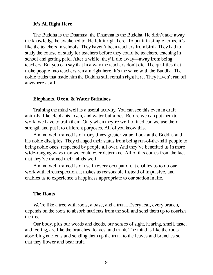#### **It's All Right Here**

The Buddha is the Dhamma; the Dhamma is the Buddha. He didn't take away the knowledge he awakened to. He left it right here. To put it in simple terms, it's like the teachers in schools. They haven't been teachers from birth. They had to study the course of study for teachers before they could be teachers, teaching in school and getting paid. After a while, they'll die away—away from being teachers. But you can say that in a way the teachers don't die. The qualities that make people into teachers remain right here. It's the same with the Buddha. The noble truths that made him the Buddha still remain right here. They haven't run off anywhere at all.

#### **Elephants, Oxen, & Water Buffaloes**

Training the mind well is a useful activity. You can see this even in draft animals, like elephants, oxen, and water buffaloes. Before we can put them to work, we have to train them. Only when they're well trained can we use their strength and put it to different purposes. All of you know this.

A mind well trained is of many times greater value. Look at the Buddha and his noble disciples. They changed their status from being run-of-the-mill people to being noble ones, respected by people all over. And they've benefited us in more wide-ranging ways than we could ever determine. All of this comes from the fact that they've trained their minds well.

A mind well trained is of use in every occupation. It enables us to do our work with circumspection. It makes us reasonable instead of impulsive, and enables us to experience a happiness appropriate to our station in life.

#### **The Roots**

We're like a tree with roots, a base, and a trunk. Every leaf, every branch, depends on the roots to absorb nutrients from the soil and send them up to nourish the tree.

Our body, plus our words and deeds, our senses of sight, hearing, smell, taste, and feeling, are like the branches, leaves, and trunk. The mind is like the roots absorbing nutrients and sending them up the trunk to the leaves and branches so that they flower and bear fruit.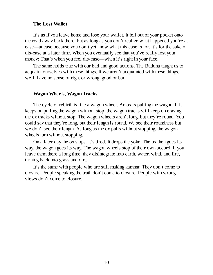#### **The Lost Wallet**

It's as if you leave home and lose your wallet. It fell out of your pocket onto the road away back there, but as long as you don't realize what happened you're at ease—at ease because you don't yet know what this ease is for. It's for the sake of dis-ease at a later time. When you eventually see that you've really lost your money: That's when you feel dis-ease—when it's right in your face.

The same holds true with our bad and good actions. The Buddha taught us to acquaint ourselves with these things. If we aren't acquainted with these things, we'll have no sense of right or wrong, good or bad.

#### **Wagon Wheels, Wagon Tracks**

The cycle of rebirth is like a wagon wheel. An ox is pulling the wagon. If it keeps on pulling the wagon without stop, the wagon tracks will keep on erasing the ox tracks without stop. The wagon wheels aren't long, but they're round. You could say that they're long, but their length is round. We see their roundness but we don't see their length. As long as the ox pulls without stopping, the wagon wheels turn without stopping.

On a later day the ox stops. It's tired. It drops the yoke. The ox then goes its way, the wagon goes its way. The wagon wheels stop of their own accord. If you leave them there a long time, they disintegrate into earth, water, wind, and fire, turning back into grass and dirt.

It's the same with people who are still making kamma: They don't come to closure. People speaking the truth don't come to closure. People with wrong views don't come to closure.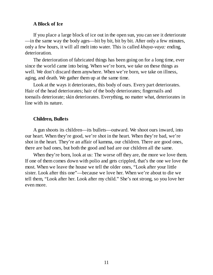#### **A Block of Ice**

If you place a large block of ice out in the open sun, you can see it deteriorate —in the same way the body ages—bit by bit, bit by bit. After only a few minutes, only a few hours, it will all melt into water. This is called *khaya-vaya:* ending, deterioration.

The deterioration of fabricated things has been going on for a long time, ever since the world came into being. When we're born, we take on these things as well. We don't discard them anywhere. When we're born, we take on illness, aging, and death. We gather them up at the same time.

Look at the ways it deteriorates, this body of ours. Every part deteriorates. Hair of the head deteriorates; hair of the body deteriorates; fingernails and toenails deteriorate; skin deteriorates. Everything, no matter what, deteriorates in line with its nature.

#### **Children, Bullets**

A gun shoots its children—its bullets—outward. We shoot ours inward, into our heart. When they're good, we're shot in the heart. When they're bad, we're shot in the heart. They're an affair of kamma, our children. There are good ones, there are bad ones, but both the good and bad are our children all the same.

When they're born, look at us: The worse off they are, the more we love them. If one of them comes down with polio and gets crippled, that's the one we love the most. When we leave the house we tell the older ones, "Look after your little sister. Look after this one"—because we love her. When we're about to die we tell them, "Look after her. Look after my child." She's not strong, so you love her even more.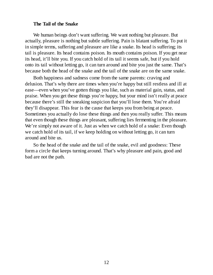#### **The Tail of the Snake**

We human beings don't want suffering. We want nothing but pleasure. But actually, pleasure is nothing but subtle suffering. Pain is blatant suffering. To put it in simple terms, suffering and pleasure are like a snake. Its head is suffering; its tail is pleasure. Its head contains poison. Its mouth contains poison. If you get near its head, it'll bite you. If you catch hold of its tail it seems safe, but if you hold onto its tail without letting go, it can turn around and bite you just the same. That's because both the head of the snake and the tail of the snake are on the same snake.

Both happiness and sadness come from the same parents: craving and delusion. That's why there are times when you're happy but still restless and ill at ease—even when you've gotten things you like, such as material gain, status, and praise. When you get these things you're happy, but your mind isn't really at peace because there's still the sneaking suspicion that you'll lose them. You're afraid they'll disappear. This fear is the cause that keeps you from being at peace. Sometimes you actually do lose these things and then you really suffer. This means that even though these things are pleasant, suffering lies fermenting in the pleasure. We're simply not aware of it. Just as when we catch hold of a snake: Even though we catch hold of its tail, if we keep holding on without letting go, it can turn around and bite us.

So the head of the snake and the tail of the snake, evil and goodness: These form a circle that keeps turning around. That's why pleasure and pain, good and bad are not the path.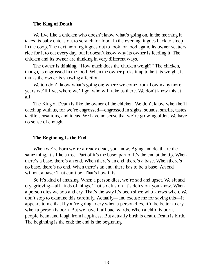#### **The King of Death**

We live like a chicken who doesn't know what's going on. In the morning it takes its baby chicks out to scratch for food. In the evening, it goes back to sleep in the coop. The next morning it goes out to look for food again. Its owner scatters rice for it to eat every day, but it doesn't know why its owner is feeding it. The chicken and its owner are thinking in very different ways.

The owner is thinking, "How much does the chicken weigh?" The chicken, though, is engrossed in the food. When the owner picks it up to heft its weight, it thinks the owner is showing affection.

We too don't know what's going on: where we come from, how many more years we'll live, where we'll go, who will take us there. We don't know this at all.

The King of Death is like the owner of the chicken. We don't know when he'll catch up with us, for we're engrossed—engrossed in sights, sounds, smells, tastes, tactile sensations, and ideas. We have no sense that we're growing older. We have no sense of enough.

#### **The Beginning Is the End**

When we're born we're already dead, you know. Aging and death are the same thing. It's like a tree. Part of it's the base; part of it's the end at the tip. When there's a base, there's an end. When there's an end, there's a base. When there's no base, there's no end. When there's an end, there has to be a base. An end without a base: That can't be. That's how it is.

So it's kind of amusing. When a person dies, we're sad and upset. We sit and cry, grieving—all kinds of things. That's delusion. It's delusion, you know. When a person dies we sob and cry. That's the way it's been since who knows when. We don't stop to examine this carefully. Actually—and excuse me for saying this—it appears to me that if you're going to cry when a person dies, it'd be better to cry when a person is born. But we have it all backwards. When a child is born, people beam and laugh from happiness. But actually birth is death. Death is birth. The beginning is the end; the end is the beginning.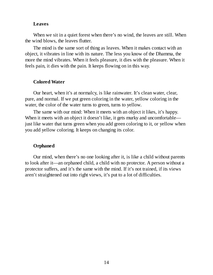#### **Leaves**

When we sit in a quiet forest when there's no wind, the leaves are still. When the wind blows, the leaves flutter.

The mind is the same sort of thing as leaves. When it makes contact with an object, it vibrates in line with its nature. The less you know of the Dhamma, the more the mind vibrates. When it feels pleasure, it dies with the pleasure. When it feels pain, it dies with the pain. It keeps flowing on in this way.

#### **Colored Water**

Our heart, when it's at normalcy, is like rainwater. It's clean water, clear, pure, and normal. If we put green coloring in the water, yellow coloring in the water, the color of the water turns to green, turns to yellow.

The same with our mind: When it meets with an object it likes, it's happy. When it meets with an object it doesn't like, it gets murky and uncomfortable just like water that turns green when you add green coloring to it, or yellow when you add yellow coloring. It keeps on changing its color.

#### **Orphaned**

Our mind, when there's no one looking after it, is like a child without parents to look after it—an orphaned child, a child with no protector. A person without a protector suffers, and it's the same with the mind. If it's not trained, if its views aren't straightened out into right views, it's put to a lot of difficulties.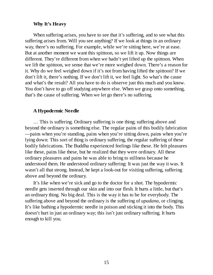#### **Why It's Heavy**

When suffering arises, you have to see that it's suffering, and to see what this suffering arises from. Will you see anything? If we look at things in an ordinary way, there's no suffering. For example, while we're sitting here, we're at ease. But at another moment we want this spittoon, so we lift it up. Now things are different. They're different from when we hadn't yet lifted up the spittoon. When we lift the spittoon, we sense that we're more weighed down. There's a reason for it. Why do we feel weighed down if it's not from having lifted the spittoon? If we don't lift it, there's nothing. If we don't lift it, we feel light. So what's the cause and what's the result? All you have to do is observe just this much and you know. You don't have to go off studying anywhere else. When we grasp onto something, that's the cause of suffering. When we let go there's no suffering.

#### **A Hypodermic Needle**

… This is suffering. Ordinary suffering is one thing; suffering above and beyond the ordinary is something else. The regular pains of this bodily fabrication —pains when you're standing, pains when you're sitting down, pains when you're lying down: This sort of thing is ordinary suffering, the regular suffering of these bodily fabrications. The Buddha experienced feelings like these. He felt pleasures like these, pains like these, but he realized that they were ordinary. All these ordinary pleasures and pains he was able to bring to stillness because he understood them. He understood ordinary suffering: It was just the way it was. It wasn't all that strong. Instead, he kept a look-out for visiting suffering, suffering above and beyond the ordinary.

It's like when we're sick and go to the doctor for a shot. The hypodermic needle gets inserted through our skin and into our flesh. It hurts a little, but that's an ordinary thing. No big deal. This is the way it has to be for everybody. The suffering above and beyond the ordinary is the suffering of *upadana,* or clinging. It's like bathing a hypodermic needle in poison and sticking it into the body. This doesn't hurt in just an ordinary way; this isn't just ordinary suffering. It hurts enough to kill you.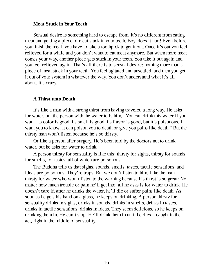#### **Meat Stuck in Your Teeth**

Sensual desire is something hard to escape from. It's no different from eating meat and getting a piece of meat stuck in your teeth. Boy, does it hurt! Even before you finish the meal, you have to take a toothpick to get it out. Once it's out you feel relieved for a while and you don't want to eat meat anymore. But when more meat comes your way, another piece gets stuck in your teeth. You take it out again and you feel relieved again. That's all there is to sensual desire: nothing more than a piece of meat stuck in your teeth. You feel agitated and unsettled, and then you get it out of your system in whatever the way. You don't understand what it's all about. It's crazy.

#### **A Thirst unto Death**

It's like a man with a strong thirst from having traveled a long way. He asks for water, but the person with the water tells him, "You can drink this water if you want. Its color is good, its smell is good, its flavor is good, but it's poisonous, I want you to know. It can poison you to death or give you pains like death." But the thirsty man won't listen because he's so thirsty.

Or like a person after surgery. He's been told by the doctors not to drink water, but he asks for water to drink.

A person thirsty for sensuality is like this: thirsty for sights, thirsty for sounds, for smells, for tastes, all of which are poisonous.

The Buddha tells us that sights, sounds, smells, tastes, tactile sensations, and ideas are poisonous. They're traps. But we don't listen to him. Like the man thirsty for water who won't listen to the warning because his thirst is so great: No matter how much trouble or pain he'll get into, all he asks is for water to drink. He doesn't care if, after he drinks the water, he'll die or suffer pains like death. As soon as he gets his hand on a glass, he keeps on drinking. A person thirsty for sensuality drinks in sights, drinks in sounds, drinks in smells, drinks in tastes, drinks in tactile sensations, drinks in ideas. They seem delicious, so he keeps on drinking them in. He can't stop. He'll drink them in until he dies—caught in the act, right in the middle of sensuality.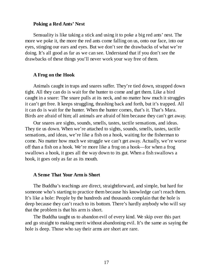#### **Poking a Red Ants' Nest**

Sensuality is like taking a stick and using it to poke a big red ants' nest. The more we poke it, the more the red ants come falling on us, onto our face, into our eyes, stinging our ears and eyes. But we don't see the drawbacks of what we're doing. It's all good as far as we can see. Understand that if you don't see the drawbacks of these things you'll never work your way free of them.

#### **A Frog on the Hook**

Animals caught in traps and snares suffer. They're tied down, strapped down tight. All they can do is wait for the hunter to come and get them. Like a bird caught in a snare: The snare pulls at its neck, and no matter how much it struggles it can't get free. It keeps struggling, thrashing back and forth, but it's trapped. All it can do is wait for the hunter. When the hunter comes, that's it. That's Mara. Birds are afraid of him; all animals are afraid of him because they can't get away.

Our snares are sights, sounds, smells, tastes, tactile sensations, and ideas. They tie us down. When we're attached to sights, sounds, smells, tastes, tactile sensations, and ideas, we're like a fish on a hook, waiting for the fisherman to come. No matter how much we struggle we can't get away. Actually, we're worse off than a fish on a hook. We're more like a frog on a hook—for when a frog swallows a hook, it goes all the way down to its gut. When a fish swallows a hook, it goes only as far as its mouth.

#### **A Sense That Your Arm is Short**

The Buddha's teachings are direct, straightforward, and simple, but hard for someone who's starting to practice them because his knowledge can't reach them. It's like a hole: People by the hundreds and thousands complain that the hole is deep because they can't reach to its bottom. There's hardly anybody who will say that the problem is that his arm is short.

The Buddha taught us to abandon evil of every kind. We skip over this part and go straight to making merit without abandoning evil. It's the same as saying the hole is deep. Those who say their arms are short are rare.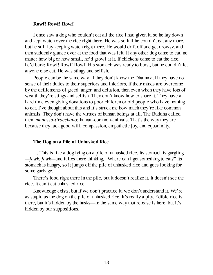#### **Rowf! Rowf! Rowf!**

I once saw a dog who couldn't eat all the rice I had given it, so he lay down and kept watch over the rice right there. He was so full he couldn't eat any more, but he still lay keeping watch right there. He would drift off and get drowsy, and then suddenly glance over at the food that was left. If any other dog came to eat, no matter how big or how small, he'd growl at it. If chickens came to eat the rice, he'd bark: Rowf! Rowf! Rowf! His stomach was ready to burst, but he couldn't let anyone else eat. He was stingy and selfish.

People can be the same way. If they don't know the Dhamma, if they have no sense of their duties to their superiors and inferiors, if their minds are overcome by the defilements of greed, anger, and delusion, then even when they have lots of wealth they're stingy and selfish. They don't know how to share it. They have a hard time even giving donations to poor children or old people who have nothing to eat. I've thought about this and it's struck me how much they're like common animals. They don't have the virtues of human beings at all. The Buddha called them *manussa-tiracchano:* human-common-animals. That's the way they are because they lack good will, compassion, empathetic joy, and equanimity.

#### **The Dog on a Pile of Unhusked Rice**

… This is like a dog lying on a pile of unhusked rice. Its stomach is gurgling *—jawk, jawk—*and it lies there thinking, "Where can I get something to eat?" Its stomach is hungry, so it jumps off the pile of unhusked rice and goes looking for some garbage.

There's food right there in the pile, but it doesn't realize it. It doesn't see the rice. It can't eat unhusked rice.

Knowledge exists, but if we don't practice it, we don't understand it. We're as stupid as the dog on the pile of unhusked rice. It's really a pity. Edible rice is there, but it's hidden by the husks—in the same way that release is here, but it's hidden by our suppositions.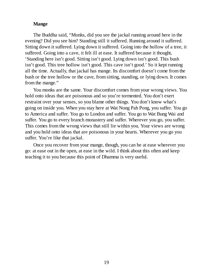#### **Mange**

The Buddha said, "Monks, did you see the jackal running around here in the evening? Did you see him? Standing still it suffered. Running around it suffered. Sitting down it suffered. Lying down it suffered. Going into the hollow of a tree, it suffered. Going into a cave, it felt ill at ease. It suffered because it thought, 'Standing here isn't good. Sitting isn't good. Lying down isn't good. This bush isn't good. This tree hollow isn't good. This cave isn't good.' So it kept running all the time. Actually, that jackal has mange. Its discomfort doesn't come from the bush or the tree hollow or the cave, from sitting, standing, or lying down. It comes from the mange."

You monks are the same. Your discomfort comes from your wrong views. You hold onto ideas that are poisonous and so you're tormented. You don't exert restraint over your senses, so you blame other things. You don't know what's going on inside you. When you stay here at Wat Nong Pah Pong, you suffer. You go to America and suffer. You go to London and suffer. You go to Wat Bung Wai and suffer. You go to every branch monastery and suffer. Wherever you go, you suffer. This comes from the wrong views that still lie within you. Your views are wrong and you hold onto ideas that are poisonous in your hearts. Wherever you go you suffer. You're like that jackal.

Once you recover from your mange, though, you can be at ease wherever you go: at ease out in the open, at ease in the wild. I think about this often and keep teaching it to you because this point of Dhamma is very useful.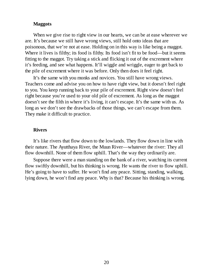#### **Maggots**

When we give rise to right view in our hearts, we can be at ease wherever we are. It's because we still have wrong views, still hold onto ideas that are poisonous, that we're not at ease. Holding on in this way is like being a maggot. Where it lives is filthy; its food is filthy. Its food isn't fit to be food—but it seems fitting to the maggot. Try taking a stick and flicking it out of the excrement where it's feeding, and see what happens. It'll wiggle and wriggle, eager to get back to the pile of excrement where it was before. Only then does it feel right.

It's the same with you monks and novices. You still have wrong views. Teachers come and advise you on how to have right view, but it doesn't feel right to you. You keep running back to your pile of excrement. Right view doesn't feel right because you're used to your old pile of excrement. As long as the maggot doesn't see the filth in where it's living, it can't escape. It's the same with us. As long as we don't see the drawbacks of those things, we can't escape from them. They make it difficult to practice.

#### **Rivers**

It's like rivers that flow down to the lowlands. They flow down in line with their nature. The Ayutthaya River, the Muun River—whatever the river: They all flow downhill. None of them flow uphill. That's the way they ordinarily are.

Suppose there were a man standing on the bank of a river, watching its current flow swiftly downhill, but his thinking is wrong. He wants the river to flow uphill. He's going to have to suffer. He won't find any peace. Sitting, standing, walking, lying down, he won't find any peace. Why is that? Because his thinking is wrong.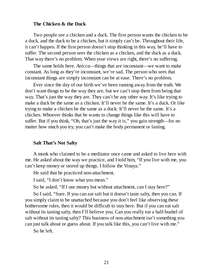#### **The Chicken & the Duck**

Two people see a chicken and a duck. The first person wants the chicken to be a duck, and the duck to be a chicken, but it simply can't be. Throughout their life, it can't happen. If the first person doesn't stop thinking in this way, he'll have to suffer. The second person sees the chicken as a chicken, and the duck as a duck. That way there's no problem. When your views are right, there's no suffering.

The same holds here. *Anicca—*things that are inconstant—we want to make constant. As long as they're inconstant, we're sad. The person who sees that inconstant things are simply inconstant can be at ease. There's no problem.

Ever since the day of our birth we've been running away from the truth. We don't want things to be the way they are, but we can't stop them from being that way. That's just the way they are. They can't be any other way. It's like trying to make a duck be the same as a chicken. It'll never be the same. It's a duck. Or like trying to make a chicken be the same as a duck: It'll never be the same. It's a chicken. Whoever thinks that he wants to change things like this will have to suffer. But if you think, "Oh, that's just the way it is," you gain strength—for no matter how much you try, you can't make the body permanent or lasting.

#### **Salt That's Not Salty**

A monk who claimed to be a meditator once came and asked to live here with me. He asked about the way we practice, and I told him, "If you live with me, you can't keep money or stored up things. I follow the Vinaya."

He said that he practiced non-attachment.

I said, "I don't know what you mean."

So he asked, "If I use money but without attachment, can I stay here?"

So I said, "Sure. If you can eat salt but it doesn't taste salty, then you can. If you simply claim to be unattached because you don't feel like observing these bothersome rules, then it would be difficult to stay here. But if you can eat salt without its tasting salty, then I'll believe you. Can you really eat a half-bushel of salt without its tasting salty? This business of non-attachment isn't something you can just talk about or guess about. If you talk like this, you can't live with me."

So he left.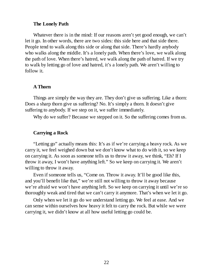#### **The Lonely Path**

Whatever there is in the mind: If our reasons aren't yet good enough, we can't let it go. In other words, there are two sides: this side here and that side there. People tend to walk along this side or along that side. There's hardly anybody who walks along the middle. It's a lonely path. When there's love, we walk along the path of love. When there's hatred, we walk along the path of hatred. If we try to walk by letting go of love and hatred, it's a lonely path. We aren't willing to follow it.

#### **A Thorn**

Things are simply the way they are. They don't give us suffering. Like a thorn: Does a sharp thorn give us suffering? No. It's simply a thorn. It doesn't give suffering to anybody. If we step on it, we suffer immediately.

Why do we suffer? Because we stepped on it. So the suffering comes from us.

#### **Carrying a Rock**

"Letting go" actually means this: It's as if we're carrying a heavy rock. As we carry it, we feel weighed down but we don't know what to do with it, so we keep on carrying it. As soon as someone tells us to throw it away, we think, "Eh? If I throw it away, I won't have anything left." So we keep on carrying it. We aren't willing to throw it away.

Even if someone tells us, "Come on. Throw it away. It'll be good like this, and you'll benefit like that," we're still not willing to throw it away because we're afraid we won't have anything left. So we keep on carrying it until we're so thoroughly weak and tired that we can't carry it anymore. That's when we let it go.

Only when we let it go do we understand letting go. We feel at ease. And we can sense within ourselves how heavy it felt to carry the rock. But while we were carrying it, we didn't know at all how useful letting go could be.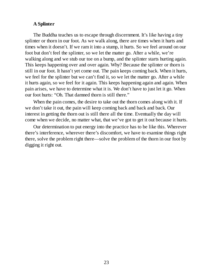#### **A Splinter**

The Buddha teaches us to escape through discernment. It's like having a tiny splinter or thorn in our foot. As we walk along, there are times when it hurts and times when it doesn't. If we ram it into a stump, it hurts. So we feel around on our foot but don't feel the splinter, so we let the matter go. After a while, we're walking along and we stub our toe on a bump, and the splinter starts hurting again. This keeps happening over and over again. Why? Because the splinter or thorn is still in our foot. It hasn't yet come out. The pain keeps coming back. When it hurts, we feel for the splinter but we can't find it, so we let the matter go. After a while it hurts again, so we feel for it again. This keeps happening again and again. When pain arises, we have to determine what it is. We don't have to just let it go. When our foot hurts: "Oh. That damned thorn is still there."

When the pain comes, the desire to take out the thorn comes along with it. If we don't take it out, the pain will keep coming back and back and back. Our interest in getting the thorn out is still there all the time. Eventually the day will come when we decide, no matter what, that we've got to get it out because it hurts.

Our determination to put energy into the practice has to be like this. Wherever there's interference, wherever there's discomfort, we have to examine things right there, solve the problem right there—solve the problem of the thorn in our foot by digging it right out.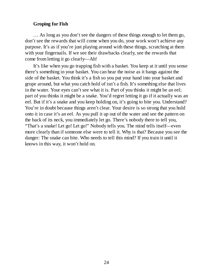#### **Groping for Fish**

… As long as you don't see the dangers of these things enough to let them go, don't see the rewards that will come when you do, your work won't achieve any purpose. It's as if you're just playing around with these things, scratching at them with your fingernails. If we see their drawbacks clearly, see the rewards that come from letting it go clearly—Ah!

It's like when you go trapping fish with a basket. You keep at it until you sense there's something in your basket. You can hear the noise as it bangs against the side of the basket. You think it's a fish so you put your hand into your basket and grope around, but what you catch hold of isn't a fish. It's something else that lives in the water. Your eyes can't see what it is. Part of you thinks it might be an eel; part of you thinks it might be a snake. You'd regret letting it go if it actually was an eel. But if it's a snake and you keep holding on, it's going to bite you. Understand? You're in doubt because things aren't clear. Your desire is so strong that you hold onto it in case it's an eel. As you pull it up out of the water and see the pattern on the back of its neck, you immediately let go. There's nobody there to tell you, "That's a snake! Let go! Let go!" Nobody tells you. The mind tells itself—even more clearly than if someone else were to tell it. Why is that? Because you see the danger: The snake can bite. Who needs to tell this mind? If you train it until it knows in this way, it won't hold on.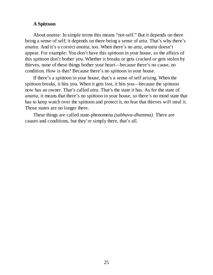#### **A Spittoon**

About *anatta:* In simple terms this means "not-self." But it depends on there being a sense of self; it depends on there being a sense of *atta.* That's why there's *anatta.* And it's a correct *anatta,* too. When there's no *atta, anatta* doesn't appear. For example: You don't have this spittoon in your house, so the affairs of this spittoon don't bother you. Whether it breaks or gets cracked or gets stolen by thieves, none of these things bother your heart—because there's no cause, no condition. How is that? Because there's no spittoon in your house.

If there's a spittoon in your house, that's a sense of self arising. When the spittoon breaks, it hits you. When it gets lost, it hits you—because the spittoon now has an owner. That's called *atta.* That's the state it has. As for the state of *anatta,* it means that there's no spittoon in your house, so there's no mind state that has to keep watch over the spittoon and protect it, no fear that thieves will steal it. Those states are no longer there.

These things are called state-phenomena *(sabhava-dhamma).* There are causes and conditions, but they're simply there, that's all.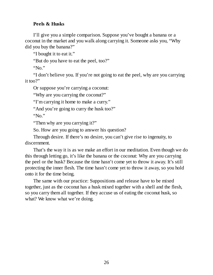#### **Peels & Husks**

I'll give you a simple comparison. Suppose you've bought a banana or a coconut in the market and you walk along carrying it. Someone asks you, "Why did you buy the banana?"

"I bought it to eat it."

"But do you have to eat the peel, too?"

"No."

"I don't believe you. If you're not going to eat the peel, why are you carrying it too?"

Or suppose you're carrying a coconut:

"Why are you carrying the coconut?"

"I'm carrying it home to make a curry."

"And you're going to curry the husk too?"

" $N_0$ "

"Then why are you carrying it?"

So. How are you going to answer his question?

Through desire. If there's no desire, you can't give rise to ingenuity, to discernment.

That's the way it is as we make an effort in our meditation. Even though we do this through letting go, it's like the banana or the coconut: Why are you carrying the peel or the husk? Because the time hasn't come yet to throw it away. It's still protecting the inner flesh. The time hasn't come yet to throw it away, so you hold onto it for the time being.

The same with our practice: Suppositions and release have to be mixed together, just as the coconut has a husk mixed together with a shell and the flesh, so you carry them all together. If they accuse us of eating the coconut husk, so what? We know what we're doing.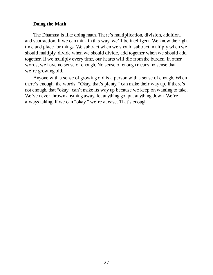#### **Doing the Math**

The Dhamma is like doing math. There's multiplication, division, addition, and subtraction. If we can think in this way, we'll be intelligent. We know the right time and place for things. We subtract when we should subtract, multiply when we should multiply, divide when we should divide, add together when we should add together. If we multiply every time, our hearts will die from the burden. In other words, we have no sense of enough. No sense of enough means no sense that we're growing old.

Anyone with a sense of growing old is a person with a sense of enough. When there's enough, the words, "Okay, that's plenty," can make their way up. If there's not enough, that "okay" can't make its way up because we keep on wanting to take. We've never thrown anything away, let anything go, put anything down. We're always taking. If we can "okay," we're at ease. That's enough.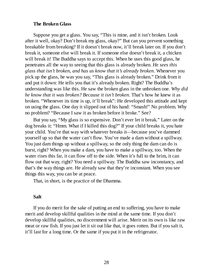#### **The Broken Glass**

Suppose you get a glass. You say, "This is mine, and it isn't broken. Look after it well, okay? Don't break my glass, okay?" But can you prevent something breakable from breaking? If it doesn't break now, it'll break later on. If you don't break it, someone else will break it. If someone else doesn't break it, a chicken will break it! The Buddha says to accept this. When he uses this good glass, he penetrates all the way to seeing that this glass is already broken. *He sees this glass that isn't broken, and has us know that it's already broken.* Whenever you pick up the glass, he was you say, "This glass is already broken." Drink from it and put it down: He tells you that it's already broken. Right? The Buddha's understanding was like this. He saw the broken glass in the unbroken one. *Why did he know that it was broken? Because it isn't broken.* That's how he knew it as broken. "Whenever its time is up, it'll break": He developed this attitude and kept on using the glass. One day it slipped out of his hand: "Smash!" No problem. Why no problem? "Because I saw it as broken before it broke." See?

But you say, "My glass is so expensive. Don't ever let it break." Later on the dog breaks it: "Hmm. What if I killed this dog?" If your child breaks it, you hate your child. You're that way with whatever breaks it—because you've dammed yourself up so that the water can't flow. You've made a dam without a spillway. You just dam things up without a spillway, so the only thing the dam can do is burst, right? When you make a dam, you have to make a spillway, too. When the water rises this far, it can flow off to the side. When it's full to the brim, it can flow out that way, right? You need a spillway. The Buddha saw inconstancy, and that's the way things are. He already saw that they're inconstant. When you see things this way, you can be at peace.

That, in short, is the practice of the Dhamma.

#### **Salt**

If you do merit for the sake of putting an end to suffering, you have to make merit and develop skillful qualities in the mind at the same time. If you don't develop skillful qualities, no discernment will arise. Merit on its own is like raw meat or raw fish. If you just let it sit out like that, it goes rotten. But if you salt it, it'll last for a long time. Or the same if you put it in the refrigerator.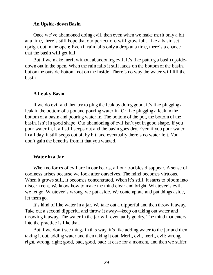#### **An Upside-down Basin**

Once we've abandoned doing evil, then even when we make merit only a bit at a time, there's still hope that our perfections will grow full. Like a basin set upright out in the open: Even if rain falls only a drop at a time, there's a chance that the basin will get full.

But if we make merit without abandoning evil, it's like putting a basin upsidedown out in the open. When the rain falls it still lands on the bottom of the basin, but on the outside bottom, not on the inside. There's no way the water will fill the basin.

#### **A Leaky Basin**

If we do evil and then try to plug the leak by doing good, it's like plugging a leak in the bottom of a pot and pouring water in. Or like plugging a leak in the bottom of a basin and pouring water in. The bottom of the pot, the bottom of the basin, isn't in good shape. Our abandoning of evil isn't yet in good shape. If you pour water in, it all still seeps out and the basin goes dry. Even if you pour water in all day, it still seeps out bit by bit, and eventually there's no water left. You don't gain the benefits from it that you wanted.

#### **Water in a Jar**

When no forms of evil are in our hearts, all our troubles disappear. A sense of coolness arises because we look after ourselves. The mind becomes virtuous. When it grows still, it becomes concentrated. When it's still, it starts to bloom into discernment. We know how to make the mind clear and bright. Whatever's evil, we let go. Whatever's wrong, we put aside. We contemplate and put things aside, let them go.

It's kind of like water in a jar. We take out a dipperful and then throw it away. Take out a second dipperful and throw it away—keep on taking out water and throwing it away. The water in the jar will eventually go dry. The mind that enters into the practice is like that.

But if we don't see things in this way, it's like adding water to the jar and then taking it out, adding water and then taking it out. Merit, evil, merit, evil; wrong, right, wrong, right; good, bad, good, bad: at ease for a moment, and then we suffer.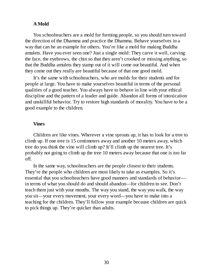#### **A Mold**

You schoolteachers are a mold for forming people, so you should turn toward the direction of the Dhamma and practice the Dhamma. Behave yourselves in a way that can be an example for others. You're like a mold for making Buddha amulets. Have you ever seen one? Just a single mold: They carve it well, carving the face, the eyebrows, the chin so that they aren't crooked or missing anything, so that the Buddha amulets they stamp out of it will come out beautiful. And when they come out they really are beautiful because of that one good mold.

It's the same with schoolteachers, who are molds for their students and for people at large. You have to make yourselves beautiful in terms of the personal qualities of a good teacher. You always have to behave in line with your ethical discipline and the pattern of a leader and guide. Abandon all forms of intoxication and unskillful behavior. Try to restore high standards of morality. You have to be a good example to the children.

#### **Vines**

Children are like vines. Wherever a vine sprouts up, it has to look for a tree to climb up. If one tree is 15 centimeters away and another 10 meters away, which tree do you think the vine will climb up? It'll climb up the nearest tree. It's probably not going to climb up the tree 10 meters away because that one is too far off.

In the same way, schoolteachers are the people closest to their students. They're the people who children are most likely to take as examples. So it's essential that you schoolteachers have good manners and standards of behavior in terms of what you should do and should abandon—for children to see. Don't teach them just with your mouths. The way you stand, the way you walk, the way you sit—your every movement, your every word—you have to make into a teaching for the children. They'll follow your example because children are quick to pick things up. They're quicker than adults.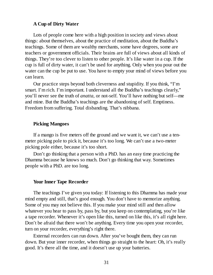#### **A Cup of Dirty Water**

Lots of people come here with a high position in society and views about things: about themselves, about the practice of meditation, about the Buddha's teachings. Some of them are wealthy merchants, some have degrees, some are teachers or government officials. Their brains are full of views about all kinds of things. They're too clever to listen to other people. It's like water in a cup. If the cup is full of dirty water, it can't be used for anything. Only when you pour out the water can the cup be put to use. You have to empty your mind of views before you can learn.

Our practice steps beyond both cleverness and stupidity. If you think, "I'm smart. I'm rich. I'm important. I understand all the Buddha's teachings clearly," you'll never see the truth of *anatta,* or not-self. You'll have nothing but self—me and mine. But the Buddha's teachings are the abandoning of self. Emptiness. Freedom from suffering. Total disbanding. That's nibbana.

#### **Picking Mangoes**

If a mango is five meters off the ground and we want it, we can't use a tenmeter picking pole to pick it, because it's too long. We can't use a two-meter picking pole either, because it's too short.

Don't go thinking that a person with a PhD. has an easy time practicing the Dhamma because he knows so much. Don't go thinking that way. Sometimes people with a PhD. are too long.

#### **Your Inner Tape Recorder**

The teachings I've given you today: If listening to this Dhamma has made your mind empty and still, that's good enough. You don't have to memorize anything. Some of you may not believe this. If you make your mind still and then allow whatever you hear to pass by, pass by, but you keep on contemplating, you're like a tape recorder. Whenever it's open like this, turned on like this, it's all right here. Don't be afraid that there won't be anything. Every time you open your recorder, turn on your recorder, everything's right there.

External recorders can run down. After you've bought them, they can run down. But your inner recorder, when things go straight to the heart: Oh, it's really good. It's there all the time, and it doesn't use up your batteries.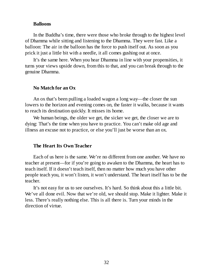#### **Balloons**

In the Buddha's time, there were those who broke through to the highest level of Dhamma while sitting and listening to the Dhamma. They were fast. Like a balloon: The air in the balloon has the force to push itself out. As soon as you prick it just a little bit with a needle, it all comes gushing out at once.

It's the same here. When you hear Dhamma in line with your propensities, it turns your views upside down, from this to that, and you can break through to the genuine Dhamma.

#### **No Match for an Ox**

An ox that's been pulling a loaded wagon a long way—the closer the sun lowers to the horizon and evening comes on, the faster it walks, because it wants to reach its destination quickly. It misses its home.

We human beings, the older we get, the sicker we get, the closer we are to dying: That's the time when you have to practice. You can't make old age and illness an excuse not to practice, or else you'll just be worse than an ox.

#### **The Heart Its Own Teacher**

Each of us here is the same. We're no different from one another. We have no teacher at present—for if you're going to awaken to the Dhamma, the heart has to teach itself. If it doesn't teach itself, then no matter how much you have other people teach you, it won't listen, it won't understand. The heart itself has to be the teacher.

It's not easy for us to see ourselves. It's hard. So think about this a little bit. We've all done evil. Now that we're old, we should stop. Make it lighter. Make it less. There's really nothing else. This is all there is. Turn your minds in the direction of virtue.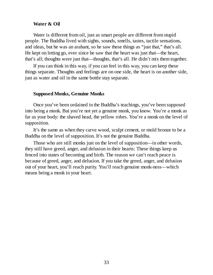#### **Water & Oil**

Water is different from oil, just as smart people are different from stupid people. The Buddha lived with sights, sounds, smells, tastes, tactile sensations, and ideas, but he was an arahant, so he saw these things as "just that," that's all. He kept on letting go, ever since he saw that the heart was just that—the heart, that's all; thoughts were just that—thoughts, that's all. He didn't mix them together.

If you can think in this way, if you can feel in this way, you can keep these things separate. Thoughts and feelings are on one side, the heart is on another side, just as water and oil in the same bottle stay separate.

#### **Supposed Monks, Genuine Monks**

Once you've been ordained in the Buddha's teachings, you've been supposed into being a monk. But you're not yet a genuine monk, you know. You're a monk as far as your body: the shaved head, the yellow robes. You're a monk on the level of supposition.

It's the same as when they carve wood, sculpt cement, or mold bronze to be a Buddha on the level of supposition. It's not the genuine Buddha.

Those who are still monks just on the level of supposition—in other words, they still have greed, anger, and delusion in their hearts: These things keep us fenced into states of becoming and birth. The reason we can't reach peace is because of greed, anger, and delusion. If you take the greed, anger, and delusion out of your heart, you'll reach purity. You'll reach genuine monk-ness—which means being a monk in your heart.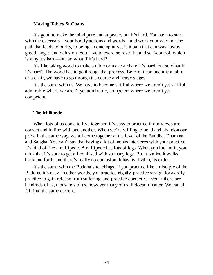#### **Making Tables & Chairs**

It's good to make the mind pure and at peace, but it's hard. You have to start with the externals—your bodily actions and words—and work your way in. The path that leads to purity, to being a contemplative, is a path that can wash away greed, anger, and delusion. You have to exercise restraint and self-control, which is why it's hard—but so what if it's hard?

It's like taking wood to make a table or make a chair. It's hard, but so what if it's hard? The wood has to go through that process. Before it can become a table or a chair, we have to go through the coarse and heavy stages.

It's the same with us. We have to become skillful where we aren't yet skillful, admirable where we aren't yet admirable, competent where we aren't yet competent.

#### **The Millipede**

When lots of us come to live together, it's easy to practice if our views are correct and in line with one another. When we're willing to bend and abandon our pride in the same way, we all come together at the level of the Buddha, Dhamma, and Sangha. You can't say that having a lot of monks interferes with your practice. It's kind of like a millipede. A millipede has lots of legs. When you look at it, you think that it's sure to get all confused with so many legs. But it walks. It walks back and forth, and there's really no confusion. It has its rhythm, its order.

It's the same with the Buddha's teachings: If you practice like a disciple of the Buddha, it's easy. In other words, you practice rightly, practice straightforwardly, practice to gain release from suffering, and practice correctly. Even if there are hundreds of us, thousands of us, however many of us, it doesn't matter. We can all fall into the same current.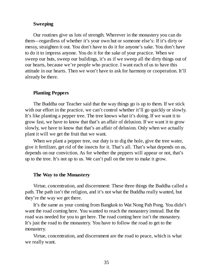#### **Sweeping**

Our routines give us lots of strength. Wherever in the monastery you can do them—regardless of whether it's your own hut or someone else's: If it's dirty or messy, straighten it out. You don't have to do it for anyone's sake. You don't have to do it to impress anyone. You do it for the sake of your practice. When we sweep our huts, sweep our buildings, it's as if we sweep all the dirty things out of our hearts, because we're people who practice. I want each of us to have this attitude in our hearts. Then we won't have to ask for harmony or cooperation. It'll already be there.

#### **Planting Peppers**

The Buddha our Teacher said that the way things go is up to them. If we stick with our effort in the practice, we can't control whether it'll go quickly or slowly. It's like planting a pepper tree. The tree knows what it's doing. If we want it to grow fast, we have to know that that's an affair of delusion. If we want it to grow slowly, we have to know that that's an affair of delusion. Only when we actually plant it will we get the fruit that we want.

When we plant a pepper tree, our duty is to dig the hole, give the tree water, give it fertilizer, get rid of the insects for it. That's all. That's what depends on us, depends on our conviction. As for whether the peppers will appear or not, that's up to the tree. It's not up to us. We can't pull on the tree to make it grow.

#### **The Way to the Monastery**

Virtue, concentration, and discernment: These three things the Buddha called a path. The path isn't the religion, and it's not what the Buddha really wanted, but they're the way we get there.

It's the same as your coming from Bangkok to Wat Nong Pah Pong. You didn't want the road coming here. You wanted to reach the monastery instead. But the road was needed for you to get here. The road coming here isn't the monastery. It's just the road to the monastery. You have to follow the road to get to the monastery.

Virtue, concentration, and discernment are the road to peace, which is what we really want.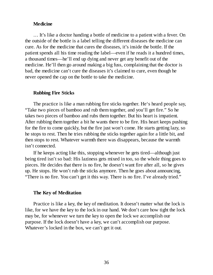#### **Medicine**

… It's like a doctor handing a bottle of medicine to a patient with a fever. On the outside of the bottle is a label telling the different diseases the medicine can cure. As for the medicine that cures the diseases, it's inside the bottle. If the patient spends all his time reading the label—even if he reads it a hundred times, a thousand times—he'll end up dying and never get any benefit out of the medicine. He'll then go around making a big fuss, complaining that the doctor is bad, the medicine can't cure the diseases it's claimed to cure, even though he never opened the cap on the bottle to take the medicine.

#### **Rubbing Fire Sticks**

The practice is like a man rubbing fire sticks together. He's heard people say, "Take two pieces of bamboo and rub them together, and you'll get fire." So he takes two pieces of bamboo and rubs them together. But his heart is impatient. After rubbing them together a bit he wants there to be fire. His heart keeps pushing for the fire to come quickly, but the fire just won't come. He starts getting lazy, so he stops to rest. Then he tries rubbing the sticks together again for a little bit, and then stops to rest. Whatever warmth there was disappears, because the warmth isn't connected.

If he keeps acting like this, stopping whenever he gets tired—although just being tired isn't so bad: His laziness gets mixed in too, so the whole thing goes to pieces. He decides that there is no fire, he doesn't want fire after all, so he gives up. He stops. He won't rub the sticks anymore. Then he goes about announcing, "There is no fire. You can't get it this way. There is no fire. I've already tried."

#### **The Key of Meditation**

Practice is like a key, the key of meditation. It doesn't matter what the lock is like, for we have the key to the lock in our hand. We don't care how tight the lock may be, for whenever we turn the key to open the lock we accomplish our purpose. If the lock doesn't have a key, we can't accomplish our purpose. Whatever's locked in the box, we can't get it out.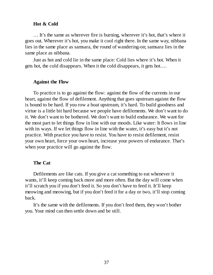#### **Hot & Cold**

… It's the same as wherever fire is burning, wherever it's hot, that's where it goes out. Wherever it's hot, you make it cool right there. In the same way, nibbana lies in the same place as samsara, the round of wandering-on; samsara lies in the same place as nibbana.

Just as hot and cold lie in the same place: Cold lies where it's hot. When it gets hot, the cold disappears. When it the cold disappears, it gets hot….

#### **Against the Flow**

To practice is to go against the flow: against the flow of the currents in our heart, against the flow of defilement. Anything that goes upstream against the flow is bound to be hard. If you row a boat upstream, it's hard. To build goodness and virtue is a little bit hard because we people have defilements. We don't want to do it. We don't want to be bothered. We don't want to build endurance. We want for the most part to let things flow in line with our moods. Like water: It flows in line with its ways. If we let things flow in line with the water, it's easy but it's not practice. With practice you have to resist. You have to resist defilement, resist your own heart, force your own heart, increase your powers of endurance. That's when your practice will go against the flow.

#### **The Cat**

Defilements are like cats. If you give a cat something to eat whenever it wants, it'll keep coming back more and more often. But the day will come when it'll scratch you if you don't feed it. So you don't have to feed it. It'll keep meowing and meowing, but if you don't feed it for a day or two, it'll stop coming back.

It's the same with the defilements. If you don't feed them, they won't bother you. Your mind can then settle down and be still.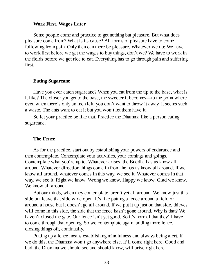#### **Work First, Wages Later**

Some people come and practice to get nothing but pleasure. But what does pleasure come from? What is its cause? All forms of pleasure have to come following from pain. Only then can there be pleasure. Whatever we do: We have to work first before we get the wages to buy things, don't we? We have to work in the fields before we get rice to eat. Everything has to go through pain and suffering first.

#### **Eating Sugarcane**

Have you ever eaten sugarcane? When you eat from the tip to the base, what is it like? The closer you get to the base, the sweeter it becomes—to the point where even when there's only an inch left, you don't want to throw it away. It seems such a waste. The ants want to eat it but you won't let them have it.

So let your practice be like that. Practice the Dhamma like a person eating sugarcane.

#### **The Fence**

As for the practice, start out by establishing your powers of endurance and then contemplate. Contemplate your activities, your comings and goings. Contemplate what you're up to. Whatever arises, the Buddha has us know all around. Whatever direction things come in from, he has us know all around. If we know all around, whatever comes in this way, we see it. Whatever comes in that way, we see it. Right we know. Wrong we know. Happy we know. Glad we know. We know all around.

But our minds, when they contemplate, aren't yet all around. We know just this side but leave that side wide open. It's like putting a fence around a field or around a house but it doesn't go all around. If we put it up just on that side, thieves will come in this side, the side that the fence hasn't gone around. Why is that? We haven't closed the gate. Our fence isn't yet good. So it's normal that they'll have to come through that opening. So we contemplate again, adding more fence, closing things off, continually.

Putting up a fence means establishing mindfulness and always being alert. If we do this, the Dhamma won't go anywhere else. It'll come right here. Good and bad, the Dhamma we should see and should know, will arise right here.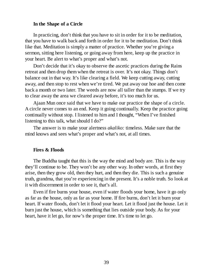#### **In the Shape of a Circle**

In practicing, don't think that you have to sit in order for it to be meditation, that you have to walk back and forth in order for it to be meditation. Don't think like that. Meditation is simply a matter of practice. Whether you're giving a sermon, sitting here listening, or going away from here, keep up the practice in your heart. Be alert to what's proper and what's not.

Don't decide that it's okay to observe the ascetic practices during the Rains retreat and then drop them when the retreat is over. It's not okay. Things don't balance out in that way. It's like clearing a field. We keep cutting away, cutting away, and then stop to rest when we're tired. We put away our hoe and then come back a month or two later. The weeds are now all taller than the stumps. If we try to clear away the area we cleared away before, it's too much for us.

Ajaan Mun once said that we have to make our practice the shape of a circle. A circle never comes to an end. Keep it going continually. Keep the practice going continually without stop. I listened to him and I thought, "When I've finished listening to this talk, what should I do?"

The answer is to make your alertness *akaliko:* timeless. Make sure that the mind knows and sees what's proper and what's not, at all times.

#### **Fires & Floods**

The Buddha taught that this is the way the mind and body are. This is the way they'll continue to be. They won't be any other way. In other words, at first they arise, then they grow old, then they hurt, and then they die. This is such a genuine truth, grandma, that you're experiencing in the present. It's a noble truth. So look at it with discernment in order to see it, that's all.

Even if fire burns your house, even if water floods your home, have it go only as far as the house, only as far as your home. If fire burns, don't let it burn your heart. If water floods, don't let it flood your heart. Let it flood just the house. Let it burn just the house, which is something that lies outside your body. As for your heart, have it let go, for now's the proper time. It's time to let go.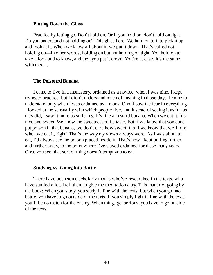#### **Putting Down the Glass**

Practice by letting go. Don't hold on. Or if you hold on, don't hold on tight. Do you understand not holding on? This glass here: We hold on to it to pick it up and look at it. When we know all about it, we put it down. That's called not holding on—in other words, holding on but not holding on tight. You hold on to take a look and to know, and then you put it down. You're at ease. It's the same with this ....

#### **The Poisoned Banana**

I came to live in a monastery, ordained as a novice, when I was nine. I kept trying to practice, but I didn't understand much of anything in those days. I came to understand only when I was ordained as a monk. Oho! I saw the fear in everything. I looked at the sensuality with which people live, and instead of seeing it as fun as they did, I saw it more as suffering. It's like a custard banana. When we eat it, it's nice and sweet. We know the sweetness of its taste. But if we know that someone put poison in that banana, we don't care how sweet it is if we know that we'll die when we eat it, right? That's the way my views always were. As I was about to eat, I'd always see the poison placed inside it. That's how I kept pulling further and further away, to the point where I've stayed ordained for these many years. Once you see, that sort of thing doesn't tempt you to eat.

#### **Studying vs. Going into Battle**

There have been some scholarly monks who've researched in the texts, who have studied a lot. I tell them to give the meditation a try. This matter of going by the book: When you study, you study in line with the texts, but when you go into battle, you have to go outside of the texts. If you simply fight in line with the texts, you'll be no match for the enemy. When things get serious, you have to go outside of the texts.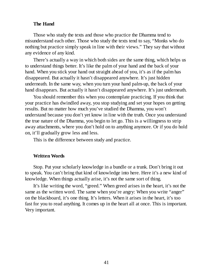#### **The Hand**

Those who study the texts and those who practice the Dhamma tend to misunderstand each other. Those who study the texts tend to say, "Monks who do nothing but practice simply speak in line with their views." They say that without any evidence of any kind.

There's actually a way in which both sides are the same thing, which helps us to understand things better. It's like the palm of your hand and the back of your hand. When you stick your hand out straight ahead of you, it's as if the palm has disappeared. But actually it hasn't disappeared anywhere. It's just hidden underneath. In the same way, when you turn your hand palm-up, the back of your hand disappears. But actually it hasn't disappeared anywhere. It's just underneath.

You should remember this when you contemplate practicing. If you think that your practice has dwindled away, you stop studying and set your hopes on getting results. But no matter how much you've studied the Dhamma, you won't understand because you don't yet know in line with the truth. Once you understand the true nature of the Dhamma, you begin to let go. This is a willingness to strip away attachments, where you don't hold on to anything anymore. Or if you do hold on, it'll gradually grow less and less.

This is the difference between study and practice.

#### **Written Words**

Stop. Put your scholarly knowledge in a bundle or a trunk. Don't bring it out to speak. You can't bring that kind of knowledge into here. Here it's a new kind of knowledge. When things actually arise, it's not the same sort of thing.

It's like writing the word, "greed." When greed arises in the heart, it's not the same as the written word. The same when you're angry: When you write "anger" on the blackboard, it's one thing. It's letters. When it arises in the heart, it's too fast for you to read anything. It comes up in the heart all at once. This is important. Very important.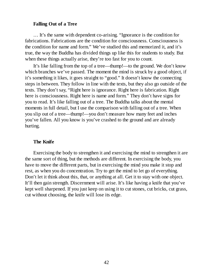#### **Falling Out of a Tree**

… It's the same with dependent co-arising. "Ignorance is the condition for fabrications. Fabrications are the condition for consciousness. Consciousness is the condition for name and form." We've studied this and memorized it, and it's true, the way the Buddha has divided things up like this for students to study. But when these things actually arise, they're too fast for you to count.

It's like falling from the top of a tree—thump!—to the ground. We don't know which branches we've passed. The moment the mind is struck by a good object, if it's something it likes, it goes straight to "good." It doesn't know the connecting steps in between. They follow in line with the texts, but they also go outside of the texts. They don't say, "Right here is ignorance. Right here is fabrication. Right here is consciousness. Right here is name and form." They don't have signs for you to read. It's like falling out of a tree. The Buddha talks about the mental moments in full detail, but I use the comparison with falling out of a tree. When you slip out of a tree—thump!—you don't measure how many feet and inches you've fallen. All you know is you've crashed to the ground and are already hurting.

#### **The Knife**

Exercising the body to strengthen it and exercising the mind to strengthen it are the same sort of thing, but the methods are different. In exercising the body, you have to move the different parts, but in exercising the mind you make it stop and rest, as when you do concentration. Try to get the mind to let go of everything. Don't let it think about this, that, or anything at all. Get it to stay with one object. It'll then gain strength. Discernment will arise. It's like having a knife that you've kept well sharpened. If you just keep on using it to cut stones, cut bricks, cut grass, cut without choosing, the knife will lose its edge.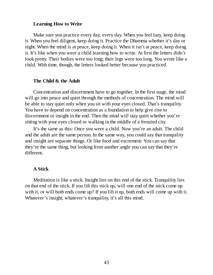#### **Learning How to Write**

Make sure you practice every day, every day. When you feel lazy, keep doing it. When you feel diligent, keep doing it. Practice the Dhamma whether it's day or night. When the mind is at peace, keep doing it. When it isn't at peace, keep doing it. It's like when you were a child learning how to write. At first the letters didn't look pretty. Their bodies were too long; their legs were too long. You wrote like a child. With time, though, the letters looked better because you practiced.

#### **The Child & the Adult**

Concentration and discernment have to go together. In the first stage, the mind will go into peace and quiet through the methods of concentration. The mind will be able to stay quiet only when you sit with your eyes closed. That's tranquility. You have to depend on concentration as a foundation to help give rise to discernment or insight in the end. Then the mind will stay quiet whether you're sitting with your eyes closed or walking in the middle of a frenzied city.

It's the same as this: Once you were a child. Now you're an adult. The child and the adult are the same person. In the same way, you could say that tranquility and insight are separate things. Or like food and excrement: You can say that they're the same thing, but looking from another angle you can say that they're different.

#### **A Stick**

Meditation is like a stick. Insight lies on this end of the stick. Tranquility lies on that end of the stick. If you lift this stick up, will one end of the stick come up with it, or will both ends come up? If you lift it up, both ends will come up with it. Whatever's insight, whatever's tranquility, it's all this mind.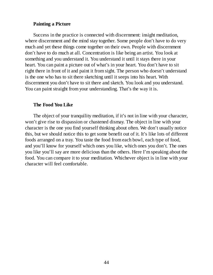#### **Painting a Picture**

Success in the practice is connected with discernment: insight meditation, where discernment and the mind stay together. Some people don't have to do very much and yet these things come together on their own. People with discernment don't have to do much at all. Concentration is like being an artist. You look at something and you understand it. You understand it until it stays there in your heart. You can paint a picture out of what's in your heart. You don't have to sit right there in front of it and paint it from sight. The person who doesn't understand is the one who has to sit there sketching until it seeps into his heart. With discernment you don't have to sit there and sketch. You look and you understand. You can paint straight from your understanding. That's the way it is.

#### **The Food You Like**

The object of your tranquility meditation, if it's not in line with your character, won't give rise to dispassion or chastened dismay. The object in line with your character is the one you find yourself thinking about often. We don't usually notice this, but we should notice this to get some benefit out of it. It's like lots of different foods arranged on a tray. You taste the food from each bowl, each type of food, and you'll know for yourself which ones you like, which ones you don't. The ones you like you'll say are more delicious than the others. Here I'm speaking about the food. You can compare it to your meditation. Whichever object is in line with your character will feel comfortable.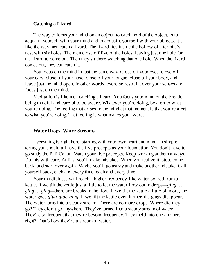#### **Catching a Lizard**

The way to focus your mind on an object, to catch hold of the object, is to acquaint yourself with your mind and to acquaint yourself with your objects. It's like the way men catch a lizard. The lizard lies inside the hollow of a termite's nest with six holes. The men close off five of the holes, leaving just one hole for the lizard to come out. Then they sit there watching that one hole. When the lizard comes out, they can catch it.

You focus on the mind in just the same way. Close off your eyes, close off your ears, close off your nose, close off your tongue, close off your body, and leave just the mind open. In other words, exercise restraint over your senses and focus just on the mind.

Meditation is like men catching a lizard. You focus your mind on the breath, being mindful and careful to be aware. Whatever you're doing, be alert to what you're doing. The feeling that arises in the mind at that moment is that you're alert to what you're doing. That feeling is what makes you aware.

#### **Water Drops, Water Streams**

Everything is right here, starting with your own heart and mind. In simple terms, you should all have the five precepts as your foundation. You don't have to go study the Pali Canon. Watch your five precepts. Keep working at them always. Do this with care. At first you'll make mistakes. When you realize it, stop, come back, and start over again. Maybe you'll go astray and make another mistake. Call yourself back, each and every time, each and every time.

Your mindfulness will reach a higher frequency, like water poured from a kettle. If we tilt the kettle just a little to let the water flow out in drops*—glug … glug … glug—*there are breaks in the flow. If we tilt the kettle a little bit more, the water goes *glug-glug-glug.* If we tilt the kettle even further, the glugs disappear. The water turns into a steady stream. There are no more drops. Where did they go? They didn't go anywhere. They've turned into a steady stream of water. They're so frequent that they're beyond frequency. They meld into one another, right? That's how they're a stream of water.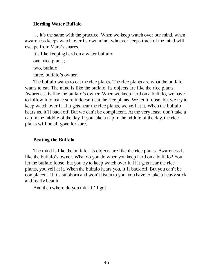#### **Herding Water Buffalo**

… It's the same with the practice. When we keep watch over our mind, when awareness keeps watch over its own mind, whoever keeps track of the mind will escape from Mara's snares.

It's like keeping herd on a water buffalo:

one, rice plants;

two, buffalo;

three, buffalo's owner.

The buffalo wants to eat the rice plants. The rice plants are what the buffalo wants to eat. The mind is like the buffalo. Its objects are like the rice plants. Awareness is like the buffalo's owner. When we keep herd on a buffalo, we have to follow it to make sure it doesn't eat the rice plants. We let it loose, but we try to keep watch over it. If it gets near the rice plants, we yell at it. When the buffalo hears us, it'll back off. But we can't be complacent. At the very least, don't take a nap in the middle of the day. If you take a nap in the middle of the day, the rice plants will be all gone for sure.

#### **Beating the Buffalo**

The mind is like the buffalo. Its objects are like the rice plants. Awareness is like the buffalo's owner. What do you do when you keep herd on a buffalo? You let the buffalo loose, but you try to keep watch over it. If it gets near the rice plants, you yell at it. When the buffalo hears you, it'll back off. But you can't be complacent. If it's stubborn and won't listen to you, you have to take a heavy stick and really beat it.

And then where do you think it'll go?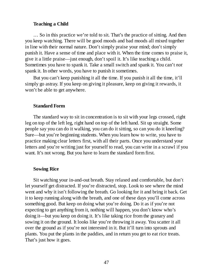#### **Teaching a Child**

… So in this practice we're told to sit. That's the practice of sitting. And then you keep watching. There will be good moods and bad moods all mixed together in line with their normal nature. Don't simply praise your mind; don't simply punish it. Have a sense of time and place with it. When the time comes to praise it, give it a little praise—just enough, don't spoil it. It's like teaching a child. Sometimes you have to spank it. Take a small switch and spank it. You can't *not* spank it. In other words, you have to punish it sometimes.

But you can't keep punishing it all the time. If you punish it all the time, it'll simply go astray. If you keep on giving it pleasure, keep on giving it rewards, it won't be able to get anywhere.

#### **Standard Form**

The standard way to sit in concentration is to sit with your legs crossed, right leg on top of the left leg, right hand on top of the left hand. Sit up straight. Some people say you can do it walking, you can do it sitting, so can you do it kneeling? Sure—but you're beginning students. When you learn how to write, you have to practice making clear letters first, with all their parts. Once you understand your letters and you're writing just for yourself to read, you can write in a scrawl if you want. It's not wrong. But you have to learn the standard form first.

#### **Sowing Rice**

Sit watching your in-and-out breath. Stay relaxed and comfortable, but don't let yourself get distracted. If you're distracted, stop. Look to see where the mind went and why it isn't following the breath. Go looking for it and bring it back. Get it to keep running along with the breath, and one of these days you'll come across something good. But keep on doing what you're doing. Do it as if you're not expecting to get anything from it, nothing will happen, you don't know who's doing it—but you keep on doing it. It's like taking rice from the granary and sowing it on the ground. It looks like you're throwing it away. You scatter it all over the ground as if you're not interested in it. But it'll turn into sprouts and plants. You put the plants in the paddies, and in return you get to eat rice treats. That's just how it goes.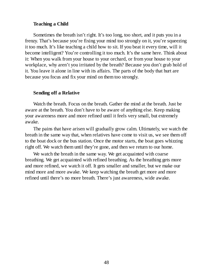#### **Teaching a Child**

Sometimes the breath isn't right. It's too long, too short, and it puts you in a frenzy. That's because you're fixing your mind too strongly on it, you're squeezing it too much. It's like teaching a child how to sit. If you beat it every time, will it become intelligent? You're controlling it too much. It's the same here. Think about it: When you walk from your house to your orchard, or from your house to your workplace, why aren't you irritated by the breath? Because you don't grab hold of it. You leave it alone in line with its affairs. The parts of the body that hurt are because you focus and fix your mind on them too strongly.

#### **Sending off a Relative**

Watch the breath. Focus on the breath. Gather the mind at the breath. Just be aware at the breath. You don't have to be aware of anything else. Keep making your awareness more and more refined until it feels very small, but extremely awake.

The pains that have arisen will gradually grow calm. Ultimately, we watch the breath in the same way that, when relatives have come to visit us, we see them off to the boat dock or the bus station. Once the motor starts, the boat goes whizzing right off. We watch them until they're gone, and then we return to our home.

We watch the breath in the same way. We get acquainted with coarse breathing. We get acquainted with refined breathing. As the breathing gets more and more refined, we watch it off. It gets smaller and smaller, but we make our mind more and more awake. We keep watching the breath get more and more refined until there's no more breath. There's just awareness, wide awake.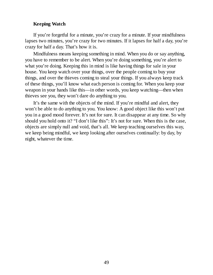#### **Keeping Watch**

If you're forgetful for a minute, you're crazy for a minute. If your mindfulness lapses two minutes, you're crazy for two minutes. If it lapses for half a day, you're crazy for half a day. That's how it is.

Mindfulness means keeping something in mind. When you do or say anything, you have to remember to be alert. When you're doing something, you're alert to what you're doing. Keeping this in mind is like having things for sale in your house. You keep watch over your things, over the people coming to buy your things, and over the thieves coming to steal your things. If you always keep track of these things, you'll know what each person is coming for. When you keep your weapon in your hands like this—in other words, you keep watching—then when thieves see you, they won't dare do anything to you.

It's the same with the objects of the mind. If you're mindful and alert, they won't be able to do anything to you. You know: A good object like this won't put you in a good mood forever. It's not for sure. It can disappear at any time. So why should you hold onto it? "I don't like this": It's not for sure. When this is the case, objects are simply null and void, that's all. We keep teaching ourselves this way, we keep being mindful, we keep looking after ourselves continually: by day, by night, whatever the time.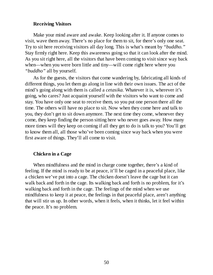#### **Receiving Visitors**

Make your mind aware and awake. Keep looking after it. If anyone comes to visit, wave them away. There's no place for them to sit, for there's only one seat. Try to sit here receiving visitors all day long. This is what's meant by *"buddho."* Stay firmly right here. Keep this awareness going so that it can look after the mind. As you sit right here, all the visitors that have been coming to visit since way back when—when you were born little and tiny—will come right here where you *"buddho"* all by yourself.

As for the guests, the visitors that come wandering by, fabricating all kinds of different things, you let them go along in line with their own issues. The act of the mind's going along with them is called a *cetasika.* Whatever it is, wherever it's going, who cares? Just acquaint yourself with the visitors who want to come and stay. You have only one seat to receive them, so you put one person there all the time. The others will have no place to sit. Now when they come here and talk to you, they don't get to sit down anymore. The next time they come, whenever they come, they keep finding the person sitting here who never goes away. How many more times will they keep on coming if all they get to do is talk to you? You'll get to know them all, all those who've been coming since way back when you were first aware of things. They'll all come to visit.

#### **Chicken in a Cage**

When mindfulness and the mind in charge come together, there's a kind of feeling. If the mind is ready to be at peace, it'll be caged in a peaceful place, like a chicken we've put into a cage. The chicken doesn't leave the cage but it can walk back and forth in the cage. Its walking back and forth is no problem, for it's walking back and forth in the cage. The feelings of the mind when we use mindfulness to keep it at peace, the feelings in that peaceful place, aren't anything that will stir us up. In other words, when it feels, when it thinks, let it feel within the peace. It's no problem.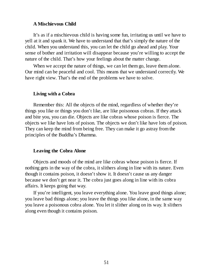#### **A Mischievous Child**

It's as if a mischievous child is having some fun, irritating us until we have to yell at it and spank it. We have to understand that that's simply the nature of the child. When you understand this, you can let the child go ahead and play. Your sense of bother and irritation will disappear because you're willing to accept the nature of the child. That's how your feelings about the matter change.

When we accept the nature of things, we can let them go, leave them alone. Our mind can be peaceful and cool. This means that we understand correctly. We have right view. That's the end of the problems we have to solve.

#### **Living with a Cobra**

Remember this: All the objects of the mind, regardless of whether they're things you like or things you don't like, are like poisonous cobras. If they attack and bite you, you can die. Objects are like cobras whose poison is fierce. The objects we like have lots of poison. The objects we don't like have lots of poison. They can keep the mind from being free. They can make it go astray from the principles of the Buddha's Dhamma.

#### **Leaving the Cobra Alone**

Objects and moods of the mind are like cobras whose poison is fierce. If nothing gets in the way of the cobra, it slithers along in line with its nature. Even though it contains poison, it doesn't show it. It doesn't cause us any danger because we don't get near it. The cobra just goes along in line with its cobra affairs. It keeps going that way.

If you're intelligent, you leave everything alone. You leave good things alone; you leave bad things alone; you leave the things you like alone, in the same way you leave a poisonous cobra alone. You let it slither along on its way. It slithers along even though it contains poison.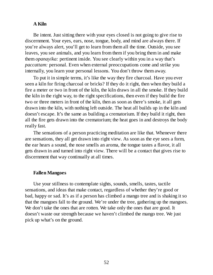#### **A Kiln**

Be intent. Just sitting there with your eyes closed is not going to give rise to discernment. Your eyes, ears, nose, tongue, body, and mind are always there. If you're always alert, you'll get to learn from them all the time. Outside, you see leaves, you see animals, and you learn from them if you bring them in and make them *opanayika:* pertinent inside. You see clearly within you in a way that's *paccattam:* personal. Even when external preoccupations come and strike you internally, you learn your personal lessons. You don't throw them away.

To put it in simple terms, it's like the way they fire charcoal. Have you ever seen a kiln for firing charcoal or bricks? If they do it right, then when they build a fire a meter or two in front of the kiln, the kiln draws in all the smoke. If they build the kiln in the right way, to the right specifications, then even if they build the fire two or three meters in front of the kiln, then as soon as there's smoke, it all gets drawn into the kiln, with nothing left outside. The heat all builds up in the kiln and doesn't escape. It's the same as building a crematorium. If they build it right, then all the fire gets drawn into the crematorium; the heat goes in and destroys the body really fast.

The sensations of a person practicing meditation are like that. Whenever there are sensations, they all get drawn into right view. As soon as the eye sees a form, the ear hears a sound, the nose smells an aroma, the tongue tastes a flavor, it all gets drawn in and turned into right view. There will be a contact that gives rise to discernment that way continually at all times.

#### **Fallen Mangoes**

Use your stillness to contemplate sights, sounds, smells, tastes, tactile sensations, and ideas that make contact, regardless of whether they're good or bad, happy or sad. It's as if a person has climbed a mango tree and is shaking it so that the mangoes fall to the ground. We're under the tree, gathering up the mangoes. We don't take the ones that are rotten. We take only the ones that are good. It doesn't waste our strength because we haven't climbed the mango tree. We just pick up what's on the ground.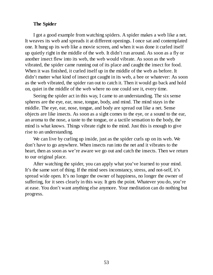#### **The Spider**

I got a good example from watching spiders. A spider makes a web like a net. It weaves its web and spreads it at different openings. I once sat and contemplated one. It hung up its web like a movie screen, and when it was done it curled itself up quietly right in the middle of the web. It didn't run around. As soon as a fly or another insect flew into its web, the web would vibrate. As soon as the web vibrated, the spider came running out of its place and caught the insect for food. When it was finished, it curled itself up in the middle of the web as before. It didn't matter what kind of insect got caught in its web, a bee or whatever: As soon as the web vibrated, the spider ran out to catch it. Then it would go back and hold on, quiet in the middle of the web where no one could see it, every time.

Seeing the spider act in this way, I came to an understanding. The six sense spheres are the eye, ear, nose, tongue, body, and mind. The mind stays in the middle. The eye, ear, nose, tongue, and body are spread out like a net. Sense objects are like insects. As soon as a sight comes to the eye, or a sound to the ear, an aroma to the nose, a taste to the tongue, or a tactile sensation to the body, the mind is what knows. Things vibrate right to the mind. Just this is enough to give rise to an understanding.

We can live by curling up inside, just as the spider curls up on its web. We don't have to go anywhere. When insects run into the net and it vibrates to the heart, then as soon as we're aware we go out and catch the insects. Then we return to our original place.

After watching the spider, you can apply what you've learned to your mind. It's the same sort of thing. If the mind sees inconstancy, stress, and not-self, it's spread wide open. It's no longer the owner of happiness, no longer the owner of suffering, for it sees clearly in this way. It gets the point. Whatever you do, you're at ease. You don't want anything else anymore. Your meditation can do nothing but progress.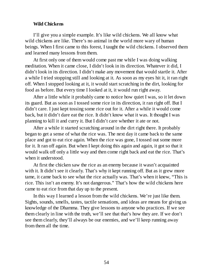#### **Wild Chickens**

I'll give you a simple example. It's like wild chickens. We all know what wild chickens are like. There's no animal in the world more wary of human beings. When I first came to this forest, I taught the wild chickens. I observed them and learned many lessons from them.

At first only one of them would come past me while I was doing walking meditation. When it came close, I didn't look in its direction. Whatever it did, I didn't look in its direction. I didn't make any movement that would startle it. After a while I tried stopping still and looking at it. As soon as my eyes hit it, it ran right off. When I stopped looking at it, it would start scratching in the dirt, looking for food as before. But every time I looked at it, it would run right away.

After a little while it probably came to notice how quiet I was, so it let down its guard. But as soon as I tossed some rice in its direction, it ran right off. But I didn't care. I just kept tossing some rice out for it. After a while it would come back, but it didn't dare eat the rice. It didn't know what it was. It thought I was planning to kill it and curry it. But I didn't care whether it ate or not.

After a while it started scratching around in the dirt right there. It probably began to get a sense of what the rice was. The next day it came back to the same place and got to eat rice again. When the rice was gone, I tossed out some more for it. It ran off again. But when I kept doing this again and again, it got so that it would walk off only a little way and then come right back and eat the rice. That's when it understood.

At first the chicken saw the rice as an enemy because it wasn't acquainted with it. It didn't see it clearly. That's why it kept running off. But as it grew more tame, it came back to see what the rice actually was. That's when it knew, "This is rice. This isn't an enemy. It's not dangerous." That's how the wild chickens here came to eat rice from that day up to the present.

In this way I learned a lesson from the wild chickens. We're just like them. Sights, sounds, smells, tastes, tactile sensations, and ideas are means for giving us knowledge of the Dhamma. They give lessons to anyone who practices. If we see them clearly in line with the truth, we'll see that that's how they are. If we don't see them clearly, they'll always be our enemies, and we'll keep running away from them all the time.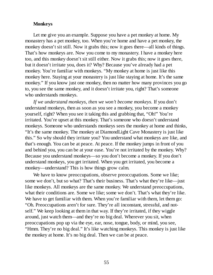#### **Monkeys**

Let me give you an example. Suppose you have a pet monkey at home. My monastery has a pet monkey, too. When you're home and have a pet monkey, the monkey doesn't sit still. Now it grabs this; now it goes there—all kinds of things. That's how monkeys are. Now you come to my monastery. I have a monkey here too, and this monkey doesn't sit still either. Now it grabs this; now it goes there, but it doesn't irritate you, does it? Why? Because you've already had a pet monkey. You're familiar with monkeys. "My monkey at home is just like this monkey here. Staying at your monastery is just like staying at home. It's the same monkey." If you know just one monkey, then no matter how many provinces you go to, you see the same monkey, and it doesn't irritate you, right? That's someone who understands monkeys.

*If we understand monkeys, then we won't become monkeys.* If you don't understand monkeys, then as soon as you see a monkey, you become a monkey yourself, right? When you see it taking this and grabbing that, "Oh!" You're irritated. You're upset at this monkey. That's someone who doesn't understand monkeys. Someone who understands monkeys sees the monkey at home and thinks, "It's the same monkey. The monkey at DiamondLight Cave Monastery is just like this." So why should they irritate you? You understand what monkeys are like, and that's enough. You can be at peace. At peace. If the monkey jumps in front of you and behind you, you can be at your ease. You're not irritated by the monkey. Why? Because you understand monkeys—so you don't become a monkey. If you don't understand monkeys, you get irritated. When you get irritated, you become a monkey—understand? This is how things grow calm.

We have to know preoccupations, observe preoccupations. Some we like; some we don't, but so what? That's their business. That's what they're like—just like monkeys. All monkeys are the same monkey. We understand preoccupations, what their conditions are. Some we like; some we don't. That's what they're like. We have to get familiar with them. When you're familiar with them, let them go: "Oh. Preoccupations aren't for sure. They're all inconstant, stressful, and notself." We keep looking at them in that way. If they're irritated, if they wiggle around, just watch them—and they're no big deal. Wherever you sit, when preoccupations pop up via the eye, ear, nose, tongue, body, or mind, you see, "Hmm. They're no big deal." It's like watching monkeys. This monkey is just like the monkey at home. It's no big deal. Then we can be at peace.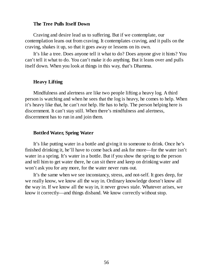#### **The Tree Pulls Itself Down**

Craving and desire lead us to suffering. But if we contemplate, our contemplation leans out from craving. It contemplates craving, and it pulls on the craving, shakes it up, so that it goes away or lessens on its own.

It's like a tree. Does anyone tell it what to do? Does anyone give it hints? You can't tell it what to do. You can't make it do anything. But it leans over and pulls itself down. When you look at things in this way, that's Dhamma.

#### **Heavy Lifting**

Mindfulness and alertness are like two people lifting a heavy log. A third person is watching and when he sees that the log is heavy, he comes to help. When it's heavy like that, he can't *not* help. He has to help. The person helping here is discernment. It can't stay still. When there's mindfulness and alertness, discernment has to run in and join them.

#### **Bottled Water, Spring Water**

It's like putting water in a bottle and giving it to someone to drink. Once he's finished drinking it, he'll have to come back and ask for more—for the water isn't water in a spring. It's water in a bottle. But if you show the spring to the person and tell him to get water there, he can sit there and keep on drinking water and won't ask you for any more, for the water never runs out.

It's the same when we see inconstancy, stress, and not-self. It goes deep, for we really know, we know all the way in. Ordinary knowledge doesn't know all the way in. If we know all the way in, it never grows stale. Whatever arises, we know it correctly—and things disband. We know correctly without stop.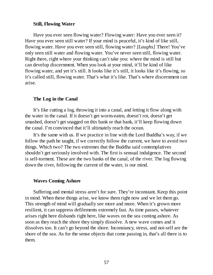#### **Still, Flowing Water**

Have you ever seen flowing water? Flowing water: Have you ever seen it? Have you ever seen still water? If your mind is peaceful, it's kind of like still, flowing water. Have you ever seen still, flowing water? *[Laughs]* There! You've only seen still water and flowing water. You've never seen still, flowing water. Right there, right where your thinking can't take you: where the mind is still but can develop discernment. When you look at your mind, it'll be kind of like flowing water, and yet it's still. It looks like it's still, it looks like it's flowing, so it's called still, flowing water. That's what it's like. That's where discernment can arise.

#### **The Log in the Canal**

It's like cutting a log, throwing it into a canal, and letting it flow along with the water in the canal. If it doesn't get worm-eaten, doesn't rot, doesn't get smashed, doesn't get snagged on this bank or that bank, it'll keep flowing down the canal. I'm convinced that it'll ultimately reach the ocean.

It's the same with us. If we practice in line with the Lord Buddha's way, if we follow the path he taught, if we correctly follow the current, we have to avoid two things. Which two? The two extremes that the Buddha said contemplatives shouldn't get seriously involved with. The first is sensual indulgence. The second is self-torment. These are the two banks of the canal, of the river. The log flowing down the river, following the current of the water, is our mind.

#### **Waves Coming Ashore**

Suffering and mental stress aren't for sure. They're inconstant. Keep this point in mind. When these things arise, we know them right now and we let them go. This strength of mind will gradually see more and more. When it's grown more resilient, it can suppress defilements extremely fast. As time passes, whatever arises right here disbands right here, like waves on the sea coming ashore. As soon as they reach the shore they simply dissolve. A new wave comes and it dissolves too. It can't go beyond the shore. Inconstancy, stress, and not-self are the shore of the sea. As for the sense objects that come passing in, that's all there is to them.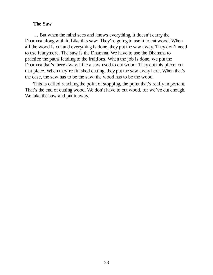#### **The Saw**

… But when the mind sees and knows everything, it doesn't carry the Dhamma along with it. Like this saw: They're going to use it to cut wood. When all the wood is cut and everything is done, they put the saw away. They don't need to use it anymore. The saw is the Dhamma. We have to use the Dhamma to practice the paths leading to the fruitions. When the job is done, we put the Dhamma that's there away. Like a saw used to cut wood: They cut this piece, cut that piece. When they're finished cutting, they put the saw away here. When that's the case, the saw has to be the saw; the wood has to be the wood.

This is called reaching the point of stopping, the point that's really important. That's the end of cutting wood. We don't have to cut wood, for we've cut enough. We take the saw and put it away.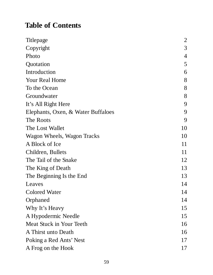## **Table of Contents**

| <b>Titlepage</b>                   | $\overline{2}$ |
|------------------------------------|----------------|
| Copyright                          | 3              |
| Photo                              | $\overline{4}$ |
| Quotation                          | 5              |
| Introduction                       | 6              |
| <b>Your Real Home</b>              | 8              |
| To the Ocean                       | 8              |
| Groundwater                        | 8              |
| It's All Right Here                | 9              |
| Elephants, Oxen, & Water Buffaloes | 9              |
| The Roots                          | 9              |
| The Lost Wallet                    | 10             |
| Wagon Wheels, Wagon Tracks         | 10             |
| A Block of Ice                     | 11             |
| Children, Bullets                  | 11             |
| The Tail of the Snake              | 12             |
| The King of Death                  | 13             |
| The Beginning Is the End           | 13             |
| Leaves                             | 14             |
| <b>Colored Water</b>               | 14             |
| Orphaned                           | 14             |
| Why It's Heavy                     | 15             |
| A Hypodermic Needle                | 15             |
| Meat Stuck in Your Teeth           | 16             |
| A Thirst unto Death                | 16             |
| Poking a Red Ants' Nest            | 17             |
| A Frog on the Hook                 | 17             |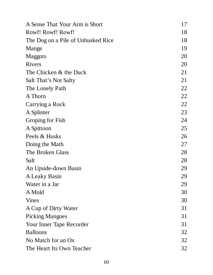| A Sense That Your Arm is Short     | 17 |
|------------------------------------|----|
| Rowf! Rowf! Rowf!                  | 18 |
| The Dog on a Pile of Unhusked Rice | 18 |
| Mange                              | 19 |
| Maggots                            | 20 |
| <b>Rivers</b>                      | 20 |
| The Chicken & the Duck             | 21 |
| Salt That's Not Salty              | 21 |
| The Lonely Path                    | 22 |
| A Thorn                            | 22 |
| Carrying a Rock                    | 22 |
| A Splinter                         | 23 |
| Groping for Fish                   | 24 |
| A Spittoon                         | 25 |
| Peels & Husks                      | 26 |
| Doing the Math                     | 27 |
| The Broken Glass                   | 28 |
| Salt                               | 28 |
| An Upside-down Basin               | 29 |
| A Leaky Basin                      | 29 |
| Water in a Jar                     | 29 |
| A Mold                             | 30 |
| <b>Vines</b>                       | 30 |
| A Cup of Dirty Water               | 31 |
| <b>Picking Mangoes</b>             | 31 |
| Your Inner Tape Recorder           | 31 |
| <b>Balloons</b>                    | 32 |
| No Match for an Ox                 | 32 |
| The Heart Its Own Teacher          | 32 |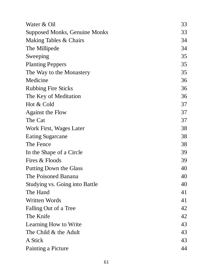| Water & Oil                    | 33 |
|--------------------------------|----|
| Supposed Monks, Genuine Monks  | 33 |
| Making Tables & Chairs         | 34 |
| The Millipede                  | 34 |
| Sweeping                       | 35 |
| <b>Planting Peppers</b>        | 35 |
| The Way to the Monastery       | 35 |
| Medicine                       | 36 |
| <b>Rubbing Fire Sticks</b>     | 36 |
| The Key of Meditation          | 36 |
| Hot & Cold                     | 37 |
| <b>Against the Flow</b>        | 37 |
| The Cat                        | 37 |
| Work First, Wages Later        | 38 |
| <b>Eating Sugarcane</b>        | 38 |
| The Fence                      | 38 |
| In the Shape of a Circle       | 39 |
| Fires & Floods                 | 39 |
| <b>Putting Down the Glass</b>  | 40 |
| The Poisoned Banana            | 40 |
| Studying vs. Going into Battle | 40 |
| The Hand                       | 41 |
| <b>Written Words</b>           | 41 |
| Falling Out of a Tree          | 42 |
| The Knife                      | 42 |
| <b>Learning How to Write</b>   | 43 |
| The Child & the Adult          | 43 |
| A Stick                        | 43 |
| Painting a Picture             | 44 |